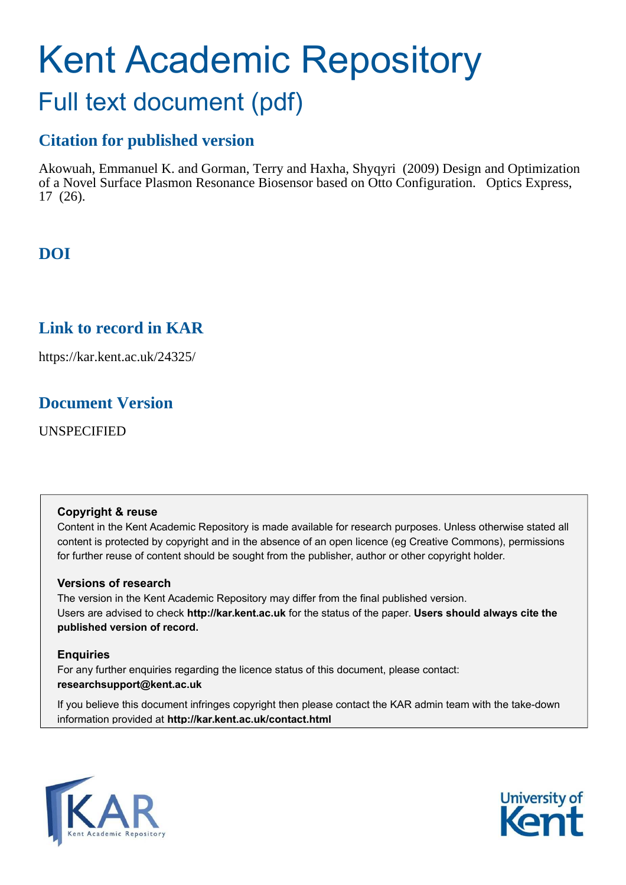# Kent Academic Repository Full text document (pdf)

## **Citation for published version**

Akowuah, Emmanuel K. and Gorman, Terry and Haxha, Shyqyri (2009) Design and Optimization of a Novel Surface Plasmon Resonance Biosensor based on Otto Configuration. Optics Express, 17 (26).

### **DOI**

### **Link to record in KAR**

https://kar.kent.ac.uk/24325/

### **Document Version**

UNSPECIFIED

### **Copyright & reuse**

Content in the Kent Academic Repository is made available for research purposes. Unless otherwise stated all content is protected by copyright and in the absence of an open licence (eg Creative Commons), permissions for further reuse of content should be sought from the publisher, author or other copyright holder.

### **Versions of research**

The version in the Kent Academic Repository may differ from the final published version. Users are advised to check **http://kar.kent.ac.uk** for the status of the paper. **Users should always cite the published version of record.**

### **Enquiries**

For any further enquiries regarding the licence status of this document, please contact: **researchsupport@kent.ac.uk**

If you believe this document infringes copyright then please contact the KAR admin team with the take-down information provided at **http://kar.kent.ac.uk/contact.html**



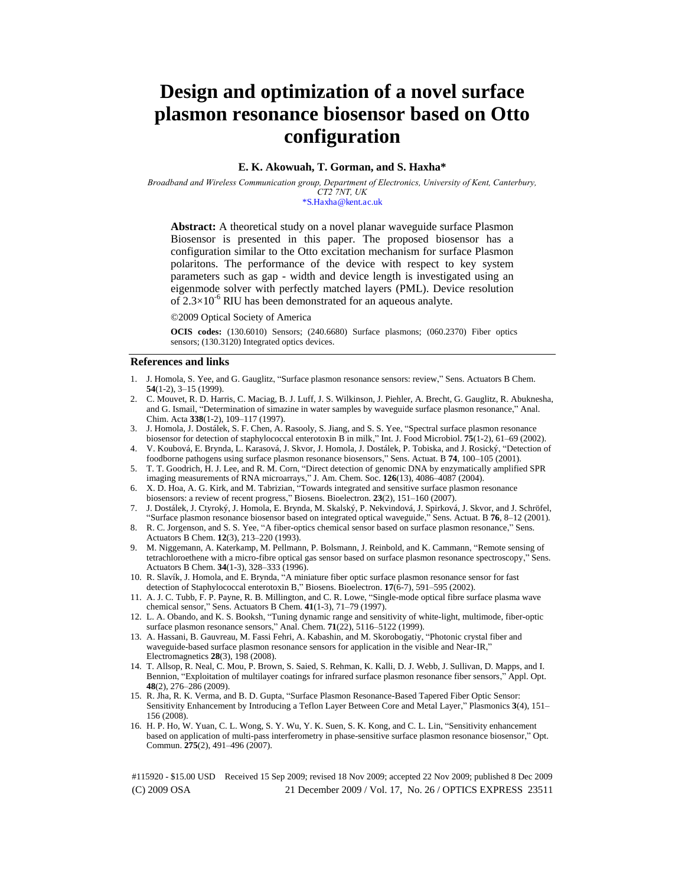### **Design and optimization of a novel surface plasmon resonance biosensor based on Otto configuration**

### **E. K. Akowuah, T. Gorman, and S. Haxha\***

*Broadband and Wireless Communication group, Department of Electronics, University of Kent, Canterbury, CT2 7NT, UK* 

\*S.Haxha@kent.ac.uk

**Abstract:** A theoretical study on a novel planar waveguide surface Plasmon Biosensor is presented in this paper. The proposed biosensor has a configuration similar to the Otto excitation mechanism for surface Plasmon polaritons. The performance of the device with respect to key system parameters such as gap - width and device length is investigated using an eigenmode solver with perfectly matched layers (PML). Device resolution of  $2.3 \times 10^{-6}$  RIU has been demonstrated for an aqueous analyte.

©2009 Optical Society of America

**OCIS codes:** (130.6010) Sensors; (240.6680) Surface plasmons; (060.2370) Fiber optics sensors; (130.3120) Integrated optics devices.

#### **References and links**

- 1. J. Homola, S. Yee, and G. Gauglitz, "Surface plasmon resonance sensors: review," Sens. Actuators B Chem. **54**(1-2), 3–15 (1999).
- 2. C. Mouvet, R. D. Harris, C. Maciag, B. J. Luff, J. S. Wilkinson, J. Piehler, A. Brecht, G. Gauglitz, R. Abuknesha, and G. Ismail, "Determination of simazine in water samples by waveguide surface plasmon resonance," Anal. Chim. Acta **338**(1-2), 109–117 (1997).
- 3. J. Homola, J. Dostálek, S. F. Chen, A. Rasooly, S. Jiang, and S. S. Yee, "Spectral surface plasmon resonance biosensor for detection of staphylococcal enterotoxin B in milk," Int. J. Food Microbiol. **75**(1-2), 61–69 (2002).
- 4. V. Koubová, E. Brynda, L. Karasová, J. Skvor, J. Homola, J. Dostálek, P. Tobiska, and J. Rosický, "Detection of foodborne pathogens using surface plasmon resonance biosensors," Sens. Actuat. B **74**, 100–105 (2001).
- 5. T. T. Goodrich, H. J. Lee, and R. M. Corn, "Direct detection of genomic DNA by enzymatically amplified SPR imaging measurements of RNA microarrays," J. Am. Chem. Soc. **126**(13), 4086–4087 (2004).
- 6. X. D. Hoa, A. G. Kirk, and M. Tabrizian, "Towards integrated and sensitive surface plasmon resonance biosensors: a review of recent progress," Biosens. Bioelectron. **23**(2), 151–160 (2007).
- 7. J. Dostálek, J. Ctyroký, J. Homola, E. Brynda, M. Skalský, P. Nekvindová, J. Spirková, J. Skvor, and J. Schröfel, "Surface plasmon resonance biosensor based on integrated optical waveguide," Sens. Actuat. B **76**, 8–12 (2001).
- 8. R. C. Jorgenson, and S. S. Yee, "A fiber-optics chemical sensor based on surface plasmon resonance," Sens. Actuators B Chem. **12**(3), 213–220 (1993).
- 9. M. Niggemann, A. Katerkamp, M. Pellmann, P. Bolsmann, J. Reinbold, and K. Cammann, "Remote sensing of tetrachloroethene with a micro-fibre optical gas sensor based on surface plasmon resonance spectroscopy," Sens. Actuators B Chem. **34**(1-3), 328–333 (1996).
- 10. R. Slavík, J. Homola, and E. Brynda, "A miniature fiber optic surface plasmon resonance sensor for fast detection of Staphylococcal enterotoxin B," Biosens. Bioelectron. **17**(6-7), 591–595 (2002).
- 11. A. J. C. Tubb, F. P. Payne, R. B. Millington, and C. R. Lowe, "Single-mode optical fibre surface plasma wave chemical sensor," Sens. Actuators B Chem. **41**(1-3), 71–79 (1997).
- 12. L. A. Obando, and K. S. Booksh, "Tuning dynamic range and sensitivity of white-light, multimode, fiber-optic surface plasmon resonance sensors," Anal. Chem. **71**(22), 5116–5122 (1999).
- 13. A. Hassani, B. Gauvreau, M. Fassi Fehri, A. Kabashin, and M. Skorobogatiy, "Photonic crystal fiber and waveguide-based surface plasmon resonance sensors for application in the visible and Near-IR," Electromagnetics **28**(3), 198 (2008).
- 14. T. Allsop, R. Neal, C. Mou, P. Brown, S. Saied, S. Rehman, K. Kalli, D. J. Webb, J. Sullivan, D. Mapps, and I. Bennion, "Exploitation of multilayer coatings for infrared surface plasmon resonance fiber sensors," Appl. Opt. **48**(2), 276–286 (2009).
- 15. R. Jha, R. K. Verma, and B. D. Gupta, "Surface Plasmon Resonance-Based Tapered Fiber Optic Sensor: Sensitivity Enhancement by Introducing a Teflon Layer Between Core and Metal Layer," Plasmonics **3**(4), 151– 156 (2008).
- 16. H. P. Ho, W. Yuan, C. L. Wong, S. Y. Wu, Y. K. Suen, S. K. Kong, and C. L. Lin, "Sensitivity enhancement based on application of multi-pass interferometry in phase-sensitive surface plasmon resonance biosensor," Opt. Commun. **275**(2), 491–496 (2007).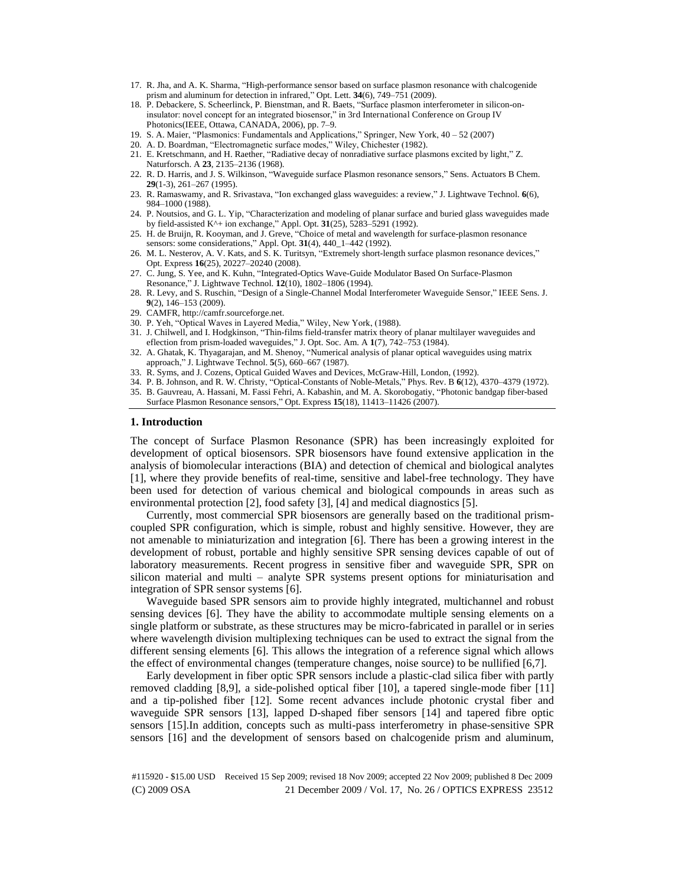- 17. R. Jha, and A. K. Sharma, "High-performance sensor based on surface plasmon resonance with chalcogenide prism and aluminum for detection in infrared," Opt. Lett. **34**(6), 749–751 (2009).
- 18. P. Debackere, S. Scheerlinck, P. Bienstman, and R. Baets, "Surface plasmon interferometer in silicon-oninsulator: novel concept for an integrated biosensor," in 3rd International Conference on Group IV Photonics(IEEE, Ottawa, CANADA, 2006), pp. 7–9.
- 19. S. A. Maier, "Plasmonics: Fundamentals and Applications," Springer, New York, 40 52 (2007)
- 20. A. D. Boardman, "Electromagnetic surface modes," Wiley, Chichester (1982).
- 21. E. Kretschmann, and H. Raether, "Radiative decay of nonradiative surface plasmons excited by light," Z. Naturforsch. A **23**, 2135–2136 (1968).
- 22. R. D. Harris, and J. S. Wilkinson, "Waveguide surface Plasmon resonance sensors," Sens. Actuators B Chem. **29**(1-3), 261–267 (1995).
- 23. R. Ramaswamy, and R. Srivastava, "Ion exchanged glass waveguides: a review," J. Lightwave Technol. **6**(6), 984–1000 (1988).
- 24. P. Noutsios, and G. L. Yip, "Characterization and modeling of planar surface and buried glass waveguides made by field-assisted K^+ ion exchange," Appl. Opt. **31**(25), 5283–5291 (1992).
- 25. H. de Bruijn, R. Kooyman, and J. Greve, "Choice of metal and wavelength for surface-plasmon resonance sensors: some considerations," Appl. Opt. **31**(4), 440\_1–442 (1992).
- 26. M. L. Nesterov, A. V. Kats, and S. K. Turitsyn, "Extremely short-length surface plasmon resonance devices," Opt. Express **16**(25), 20227–20240 (2008).
- 27. C. Jung, S. Yee, and K. Kuhn, "Integrated-Optics Wave-Guide Modulator Based On Surface-Plasmon Resonance," J. Lightwave Technol. **12**(10), 1802–1806 (1994).
- 28. R. Levy, and S. Ruschin, "Design of a Single-Channel Modal Interferometer Waveguide Sensor," IEEE Sens. J. **9**(2), 146–153 (2009).
- 29. CAMFR, http://camfr.sourceforge.net.
- 30. P. Yeh, "Optical Waves in Layered Media," Wiley, New York, (1988).
- 31. J. Chilwell, and I. Hodgkinson, "Thin-films field-transfer matrix theory of planar multilayer waveguides and eflection from prism-loaded waveguides," J. Opt. Soc. Am. A **1**(7), 742–753 (1984).
- 32. A. Ghatak, K. Thyagarajan, and M. Shenoy, "Numerical analysis of planar optical waveguides using matrix approach," J. Lightwave Technol. **5**(5), 660–667 (1987).
- 33. R. Syms, and J. Cozens, Optical Guided Waves and Devices, McGraw-Hill, London, (1992).
- 34. P. B. Johnson, and R. W. Christy, "Optical-Constants of Noble-Metals," Phys. Rev. B **6**(12), 4370–4379 (1972). 35. B. Gauvreau, A. Hassani, M. Fassi Fehri, A. Kabashin, and M. A. Skorobogatiy, "Photonic bandgap fiber-based
- Surface Plasmon Resonance sensors," Opt. Express **15**(18), 11413–11426 (2007).

### **1. Introduction**

The concept of Surface Plasmon Resonance (SPR) has been increasingly exploited for development of optical biosensors. SPR biosensors have found extensive application in the analysis of biomolecular interactions (BIA) and detection of chemical and biological analytes [1], where they provide benefits of real-time, sensitive and label-free technology. They have been used for detection of various chemical and biological compounds in areas such as environmental protection [2], food safety [3], [4] and medical diagnostics [5].

Currently, most commercial SPR biosensors are generally based on the traditional prismcoupled SPR configuration, which is simple, robust and highly sensitive. However, they are not amenable to miniaturization and integration [6]. There has been a growing interest in the development of robust, portable and highly sensitive SPR sensing devices capable of out of laboratory measurements. Recent progress in sensitive fiber and waveguide SPR, SPR on silicon material and multi – analyte SPR systems present options for miniaturisation and integration of SPR sensor systems [6].

Waveguide based SPR sensors aim to provide highly integrated, multichannel and robust sensing devices [6]. They have the ability to accommodate multiple sensing elements on a single platform or substrate, as these structures may be micro-fabricated in parallel or in series where wavelength division multiplexing techniques can be used to extract the signal from the different sensing elements [6]. This allows the integration of a reference signal which allows the effect of environmental changes (temperature changes, noise source) to be nullified [6,7].

Early development in fiber optic SPR sensors include a plastic-clad silica fiber with partly removed cladding [8,9], a side-polished optical fiber [10], a tapered single-mode fiber [11] and a tip-polished fiber [12]. Some recent advances include photonic crystal fiber and waveguide SPR sensors [13], lapped D-shaped fiber sensors [14] and tapered fibre optic sensors [15].In addition, concepts such as multi-pass interferometry in phase-sensitive SPR sensors [16] and the development of sensors based on chalcogenide prism and aluminum,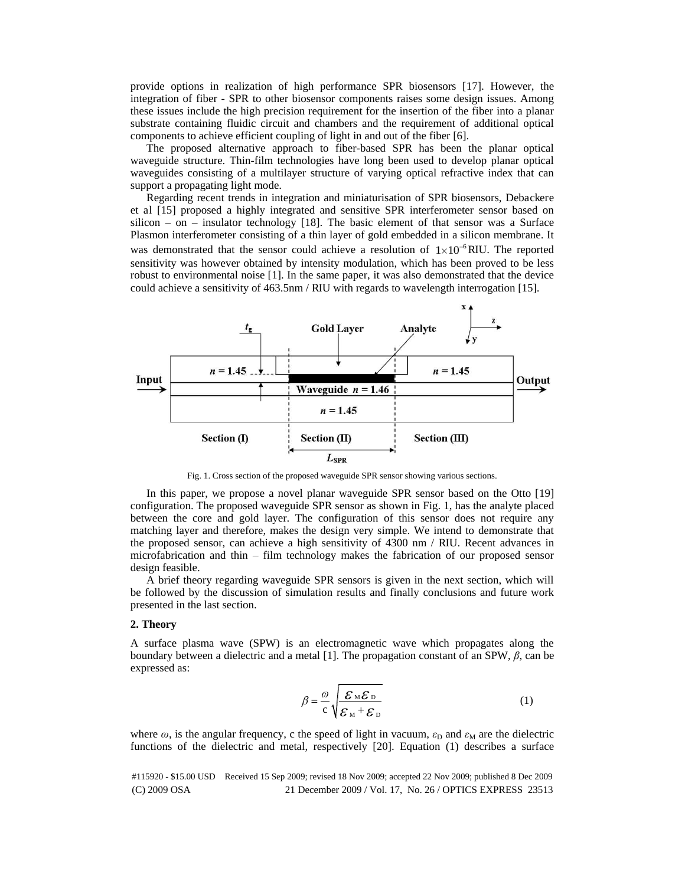provide options in realization of high performance SPR biosensors [17]. However, the integration of fiber - SPR to other biosensor components raises some design issues. Among these issues include the high precision requirement for the insertion of the fiber into a planar substrate containing fluidic circuit and chambers and the requirement of additional optical components to achieve efficient coupling of light in and out of the fiber [6].

The proposed alternative approach to fiber-based SPR has been the planar optical waveguide structure. Thin-film technologies have long been used to develop planar optical waveguides consisting of a multilayer structure of varying optical refractive index that can support a propagating light mode.

Regarding recent trends in integration and miniaturisation of SPR biosensors, Debackere et al [15] proposed a highly integrated and sensitive SPR interferometer sensor based on silicon – on – insulator technology  $[18]$ . The basic element of that sensor was a Surface Plasmon interferometer consisting of a thin layer of gold embedded in a silicon membrane. It was demonstrated that the sensor could achieve a resolution of  $1 \times 10^{-6}$  RIU. The reported sensitivity was however obtained by intensity modulation, which has been proved to be less robust to environmental noise [1]. In the same paper, it was also demonstrated that the device could achieve a sensitivity of 463.5nm / RIU with regards to wavelength interrogation [15].



Fig. 1. Cross section of the proposed waveguide SPR sensor showing various sections.

In this paper, we propose a novel planar waveguide SPR sensor based on the Otto [19] configuration. The proposed waveguide SPR sensor as shown in Fig. 1, has the analyte placed between the core and gold layer. The configuration of this sensor does not require any matching layer and therefore, makes the design very simple. We intend to demonstrate that the proposed sensor, can achieve a high sensitivity of 4300 nm / RIU. Recent advances in microfabrication and thin – film technology makes the fabrication of our proposed sensor design feasible.

A brief theory regarding waveguide SPR sensors is given in the next section, which will be followed by the discussion of simulation results and finally conclusions and future work presented in the last section.

#### **2. Theory**

A surface plasma wave (SPW) is an electromagnetic wave which propagates along the boundary between a dielectric and a metal [1]. The propagation constant of an SPW,  $\beta$ , can be expressed as:

$$
\beta = \frac{\omega}{c} \sqrt{\frac{\mathcal{E}_{M} \mathcal{E}_{D}}{\mathcal{E}_{M} + \mathcal{E}_{D}}}
$$
(1)

where  $\omega$ , is the angular frequency, c the speed of light in vacuum,  $\varepsilon_D$  and  $\varepsilon_M$  are the dielectric functions of the dielectric and metal, respectively [20]. Equation (1) describes a surface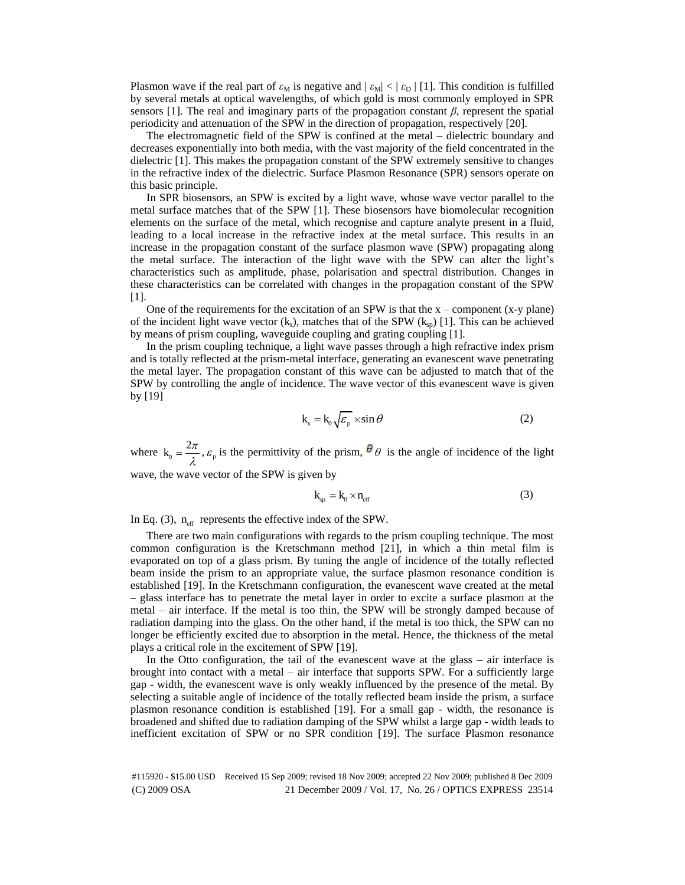Plasmon wave if the real part of  $\varepsilon_M$  is negative and  $|\varepsilon_M| < |\varepsilon_D|$  [1]. This condition is fulfilled by several metals at optical wavelengths, of which gold is most commonly employed in SPR sensors [1]. The real and imaginary parts of the propagation constant  $\beta$ , represent the spatial periodicity and attenuation of the SPW in the direction of propagation, respectively [20].

The electromagnetic field of the SPW is confined at the metal – dielectric boundary and decreases exponentially into both media, with the vast majority of the field concentrated in the dielectric [1]. This makes the propagation constant of the SPW extremely sensitive to changes in the refractive index of the dielectric. Surface Plasmon Resonance (SPR) sensors operate on this basic principle.

In SPR biosensors, an SPW is excited by a light wave, whose wave vector parallel to the metal surface matches that of the SPW [1]. These biosensors have biomolecular recognition elements on the surface of the metal, which recognise and capture analyte present in a fluid, leading to a local increase in the refractive index at the metal surface. This results in an increase in the propagation constant of the surface plasmon wave (SPW) propagating along the metal surface. The interaction of the light wave with the SPW can alter the light's characteristics such as amplitude, phase, polarisation and spectral distribution. Changes in these characteristics can be correlated with changes in the propagation constant of the SPW [1].

One of the requirements for the excitation of an SPW is that the  $x -$ component (x-y plane) of the incident light wave vector  $(k_x)$ , matches that of the SPW  $(k_{so})$  [1]. This can be achieved by means of prism coupling, waveguide coupling and grating coupling [1].

In the prism coupling technique, a light wave passes through a high refractive index prism and is totally reflected at the prism-metal interface, generating an evanescent wave penetrating the metal layer. The propagation constant of this wave can be adjusted to match that of the SPW by controlling the angle of incidence. The wave vector of this evanescent wave is given by [19]

$$
k_x = k_0 \sqrt{\varepsilon_p} \times \sin \theta \tag{2}
$$

where  $k_0 = \frac{2\pi}{\lambda}$ ,  $\varepsilon_p$  is the permittivity of the prism,  $\theta$   $\theta$  is the angle of incidence of the light

wave, the wave vector of the SPW is given by

$$
k_{sp} = k_0 \times n_{eff}
$$
 (3)

In Eq. (3),  $n_{\text{eff}}$  represents the effective index of the SPW.

There are two main configurations with regards to the prism coupling technique. The most common configuration is the Kretschmann method [21], in which a thin metal film is evaporated on top of a glass prism. By tuning the angle of incidence of the totally reflected beam inside the prism to an appropriate value, the surface plasmon resonance condition is established [19]. In the Kretschmann configuration, the evanescent wave created at the metal – glass interface has to penetrate the metal layer in order to excite a surface plasmon at the metal – air interface. If the metal is too thin, the SPW will be strongly damped because of radiation damping into the glass. On the other hand, if the metal is too thick, the SPW can no longer be efficiently excited due to absorption in the metal. Hence, the thickness of the metal plays a critical role in the excitement of SPW [19].

In the Otto configuration, the tail of the evanescent wave at the glass – air interface is brought into contact with a metal – air interface that supports SPW. For a sufficiently large gap - width, the evanescent wave is only weakly influenced by the presence of the metal. By selecting a suitable angle of incidence of the totally reflected beam inside the prism, a surface plasmon resonance condition is established [19]. For a small gap - width, the resonance is broadened and shifted due to radiation damping of the SPW whilst a large gap - width leads to inefficient excitation of SPW or no SPR condition [19]. The surface Plasmon resonance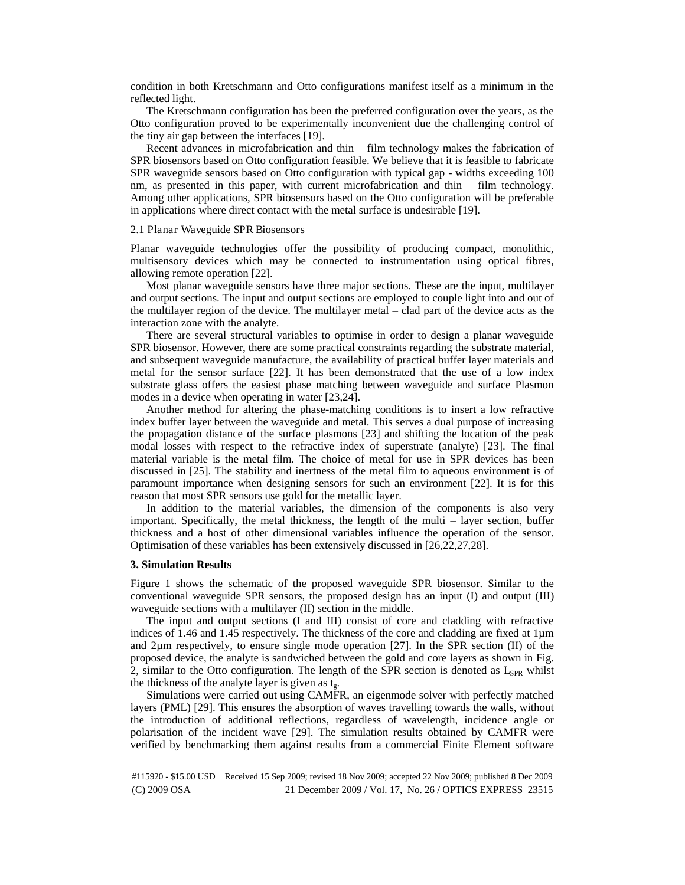condition in both Kretschmann and Otto configurations manifest itself as a minimum in the reflected light.

The Kretschmann configuration has been the preferred configuration over the years, as the Otto configuration proved to be experimentally inconvenient due the challenging control of the tiny air gap between the interfaces [19].

Recent advances in microfabrication and thin – film technology makes the fabrication of SPR biosensors based on Otto configuration feasible. We believe that it is feasible to fabricate SPR waveguide sensors based on Otto configuration with typical gap - widths exceeding 100 nm, as presented in this paper, with current microfabrication and thin – film technology. Among other applications, SPR biosensors based on the Otto configuration will be preferable in applications where direct contact with the metal surface is undesirable [19].

#### 2.1 Planar Waveguide SPR Biosensors

Planar waveguide technologies offer the possibility of producing compact, monolithic, multisensory devices which may be connected to instrumentation using optical fibres, allowing remote operation [22].

Most planar waveguide sensors have three major sections. These are the input, multilayer and output sections. The input and output sections are employed to couple light into and out of the multilayer region of the device. The multilayer metal – clad part of the device acts as the interaction zone with the analyte.

There are several structural variables to optimise in order to design a planar waveguide SPR biosensor. However, there are some practical constraints regarding the substrate material, and subsequent waveguide manufacture, the availability of practical buffer layer materials and metal for the sensor surface [22]. It has been demonstrated that the use of a low index substrate glass offers the easiest phase matching between waveguide and surface Plasmon modes in a device when operating in water [23,24].

Another method for altering the phase-matching conditions is to insert a low refractive index buffer layer between the waveguide and metal. This serves a dual purpose of increasing the propagation distance of the surface plasmons [23] and shifting the location of the peak modal losses with respect to the refractive index of superstrate (analyte) [23]. The final material variable is the metal film. The choice of metal for use in SPR devices has been discussed in [25]. The stability and inertness of the metal film to aqueous environment is of paramount importance when designing sensors for such an environment [22]. It is for this reason that most SPR sensors use gold for the metallic layer.

In addition to the material variables, the dimension of the components is also very important. Specifically, the metal thickness, the length of the multi – layer section, buffer thickness and a host of other dimensional variables influence the operation of the sensor. Optimisation of these variables has been extensively discussed in [26,22,27,28].

#### **3. Simulation Results**

Figure 1 shows the schematic of the proposed waveguide SPR biosensor. Similar to the conventional waveguide SPR sensors, the proposed design has an input (I) and output (III) waveguide sections with a multilayer (II) section in the middle.

The input and output sections (I and III) consist of core and cladding with refractive indices of 1.46 and 1.45 respectively. The thickness of the core and cladding are fixed at  $1\mu$ m and 2µm respectively, to ensure single mode operation [27]. In the SPR section (II) of the proposed device, the analyte is sandwiched between the gold and core layers as shown in Fig. 2, similar to the Otto configuration. The length of the SPR section is denoted as  $L_{SPR}$  whilst the thickness of the analyte layer is given as  $t_{g}$ .

Simulations were carried out using CAMFR, an eigenmode solver with perfectly matched layers (PML) [29]. This ensures the absorption of waves travelling towards the walls, without the introduction of additional reflections, regardless of wavelength, incidence angle or polarisation of the incident wave [29]. The simulation results obtained by CAMFR were verified by benchmarking them against results from a commercial Finite Element software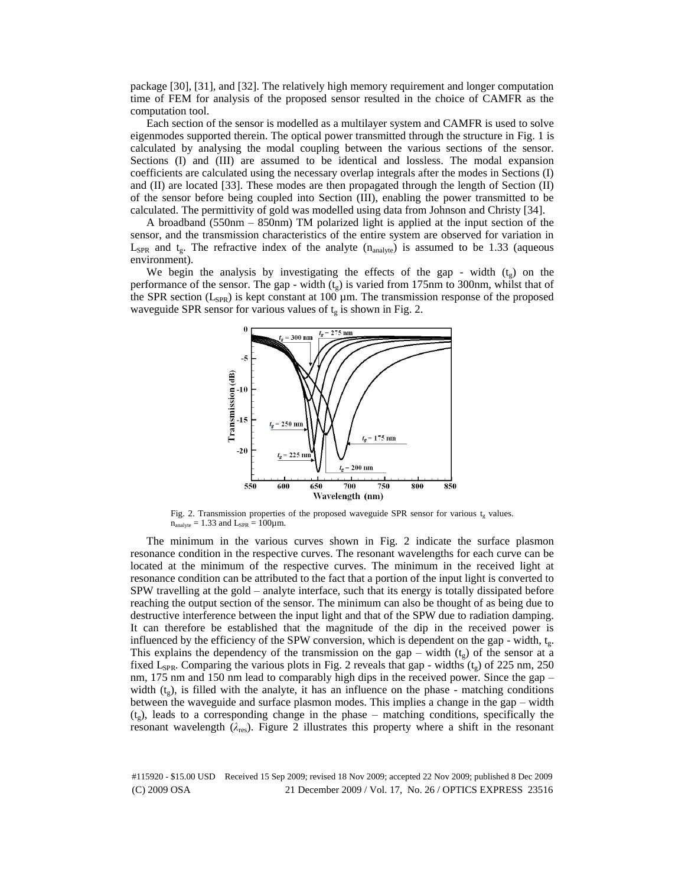package [30], [31], and [32]. The relatively high memory requirement and longer computation time of FEM for analysis of the proposed sensor resulted in the choice of CAMFR as the computation tool.

Each section of the sensor is modelled as a multilayer system and CAMFR is used to solve eigenmodes supported therein. The optical power transmitted through the structure in Fig. 1 is calculated by analysing the modal coupling between the various sections of the sensor. Sections (I) and (III) are assumed to be identical and lossless. The modal expansion coefficients are calculated using the necessary overlap integrals after the modes in Sections (I) and (II) are located [33]. These modes are then propagated through the length of Section (II) of the sensor before being coupled into Section (III), enabling the power transmitted to be calculated. The permittivity of gold was modelled using data from Johnson and Christy [34].

A broadband (550nm – 850nm) TM polarized light is applied at the input section of the sensor, and the transmission characteristics of the entire system are observed for variation in  $L_{SPR}$  and  $t_g$ . The refractive index of the analyte (n<sub>analyte</sub>) is assumed to be 1.33 (aqueous environment).

We begin the analysis by investigating the effects of the gap - width  $(t_g)$  on the performance of the sensor. The gap - width  $(t<sub>e</sub>)$  is varied from 175nm to 300nm, whilst that of the SPR section ( $L_{SPR}$ ) is kept constant at 100 µm. The transmission response of the proposed waveguide SPR sensor for various values of  $t<sub>g</sub>$  is shown in Fig. 2.



Fig. 2. Transmission properties of the proposed waveguide SPR sensor for various  $t_e$  values.  $n_{analyte} = 1.33$  and  $L_{SPR} = 100 \mu m$ .

The minimum in the various curves shown in Fig. 2 indicate the surface plasmon resonance condition in the respective curves. The resonant wavelengths for each curve can be located at the minimum of the respective curves. The minimum in the received light at resonance condition can be attributed to the fact that a portion of the input light is converted to SPW travelling at the gold – analyte interface, such that its energy is totally dissipated before reaching the output section of the sensor. The minimum can also be thought of as being due to destructive interference between the input light and that of the SPW due to radiation damping. It can therefore be established that the magnitude of the dip in the received power is influenced by the efficiency of the SPW conversion, which is dependent on the gap - width,  $t_{\nu}$ . This explains the dependency of the transmission on the gap – width  $(t_g)$  of the sensor at a fixed L<sub>SPR</sub>. Comparing the various plots in Fig. 2 reveals that gap - widths ( $t_g$ ) of 225 nm, 250 nm, 175 nm and 150 nm lead to comparably high dips in the received power. Since the gap – width  $(t<sub>p</sub>)$ , is filled with the analyte, it has an influence on the phase - matching conditions between the waveguide and surface plasmon modes. This implies a change in the gap – width  $(t_g)$ , leads to a corresponding change in the phase – matching conditions, specifically the resonant wavelength ( $\lambda_{res}$ ). Figure 2 illustrates this property where a shift in the resonant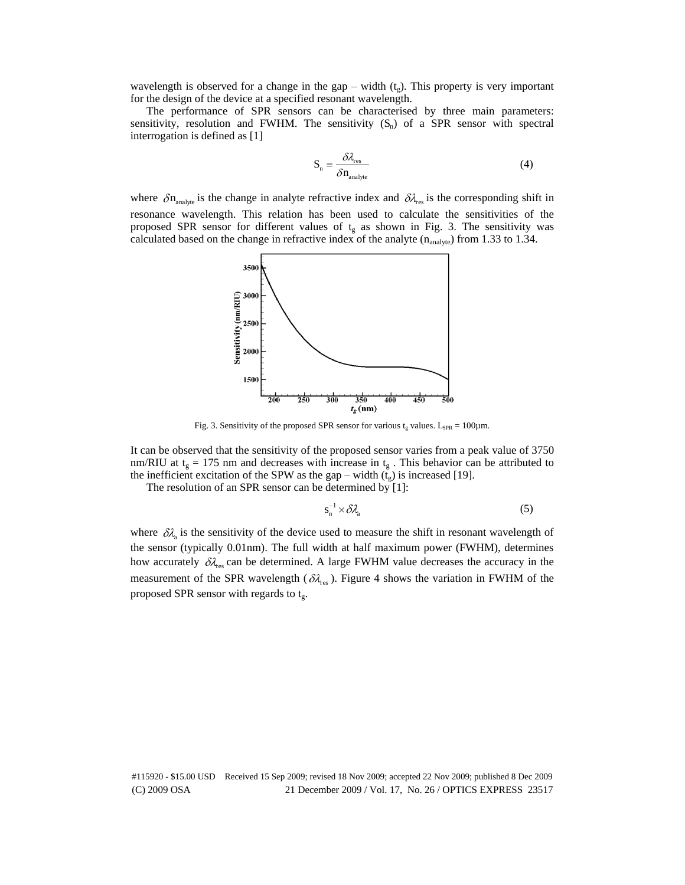wavelength is observed for a change in the gap – width  $(t<sub>e</sub>)$ . This property is very important for the design of the device at a specified resonant wavelength.

The performance of SPR sensors can be characterised by three main parameters: sensitivity, resolution and FWHM. The sensitivity  $(S_n)$  of a SPR sensor with spectral interrogation is defined as [1]

$$
S_n = \frac{\delta \lambda_{\text{res}}}{\delta n_{\text{analyte}}} \tag{4}
$$

where  $\delta n_{analyte}$  is the change in analyte refractive index and  $\delta \lambda_{res}$  is the corresponding shift in resonance wavelength. This relation has been used to calculate the sensitivities of the proposed SPR sensor for different values of  $t_g$  as shown in Fig. 3. The sensitivity was calculated based on the change in refractive index of the analyte  $(n_{analyte})$  from 1.33 to 1.34.



Fig. 3. Sensitivity of the proposed SPR sensor for various  $t_g$  values. L<sub>SPR</sub> = 100 $\mu$ m.

It can be observed that the sensitivity of the proposed sensor varies from a peak value of 3750 nm/RIU at  $t<sub>g</sub> = 175$  nm and decreases with increase in  $t<sub>g</sub>$ . This behavior can be attributed to the inefficient excitation of the SPW as the gap – width  $(t_g)$  is increased [19].

The resolution of an SPR sensor can be determined by [1]:

$$
s_n^{-1} \times \delta \lambda_a \tag{5}
$$

where  $\delta \lambda_a$  is the sensitivity of the device used to measure the shift in resonant wavelength of the sensor (typically 0.01nm). The full width at half maximum power (FWHM), determines how accurately  $\delta \lambda_{\text{res}}$  can be determined. A large FWHM value decreases the accuracy in the measurement of the SPR wavelength ( $\delta \lambda_{\rm res}$ ). Figure 4 shows the variation in FWHM of the proposed SPR sensor with regards to  $t_g$ .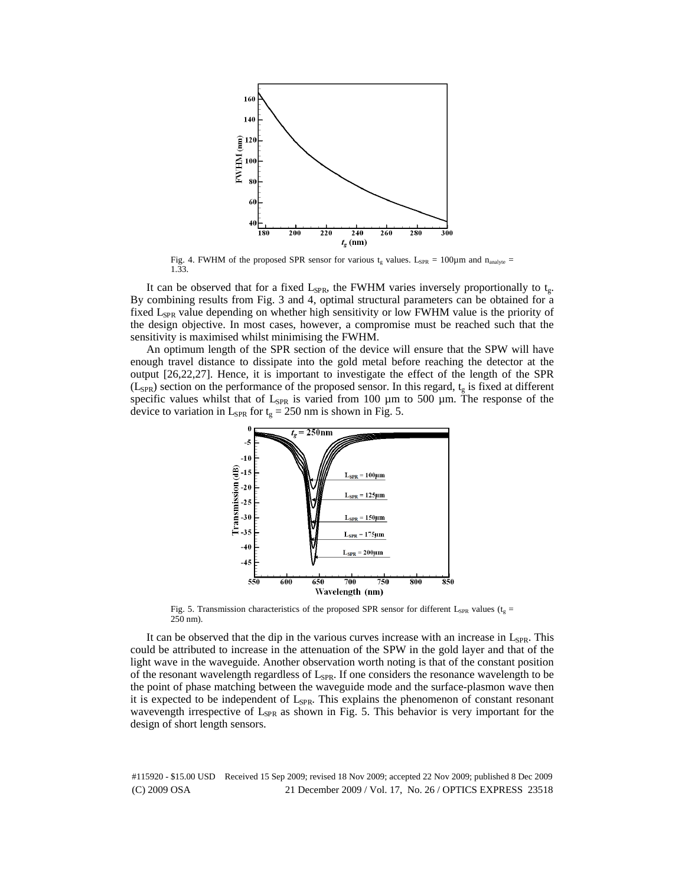

Fig. 4. FWHM of the proposed SPR sensor for various  $t_g$  values. L<sub>SPR</sub> = 100 $\mu$ m and n<sub>analyte</sub> = 1.33.

It can be observed that for a fixed  $L_{SPR}$ , the FWHM varies inversely proportionally to  $t_{g}$ . By combining results from Fig. 3 and 4, optimal structural parameters can be obtained for a fixed L<sub>SPR</sub> value depending on whether high sensitivity or low FWHM value is the priority of the design objective. In most cases, however, a compromise must be reached such that the sensitivity is maximised whilst minimising the FWHM.

An optimum length of the SPR section of the device will ensure that the SPW will have enough travel distance to dissipate into the gold metal before reaching the detector at the output [26,22,27]. Hence, it is important to investigate the effect of the length of the SPR  $(L<sub>SPR</sub>)$  section on the performance of the proposed sensor. In this regard,  $t<sub>g</sub>$  is fixed at different specific values whilst that of  $L_{SPR}$  is varied from 100  $\mu$ m to 500  $\mu$ m. The response of the device to variation in L<sub>SPR</sub> for  $t_g = 250$  nm is shown in Fig. 5.



Fig. 5. Transmission characteristics of the proposed SPR sensor for different L<sub>SPR</sub> values ( $t_g$  = 250 nm).

It can be observed that the dip in the various curves increase with an increase in  $L_{SPR}$ . This could be attributed to increase in the attenuation of the SPW in the gold layer and that of the light wave in the waveguide. Another observation worth noting is that of the constant position of the resonant wavelength regardless of  $L_{SPR}$ . If one considers the resonance wavelength to be the point of phase matching between the waveguide mode and the surface-plasmon wave then it is expected to be independent of  $L_{SPR}$ . This explains the phenomenon of constant resonant wavevength irrespective of  $L_{SPR}$  as shown in Fig. 5. This behavior is very important for the design of short length sensors.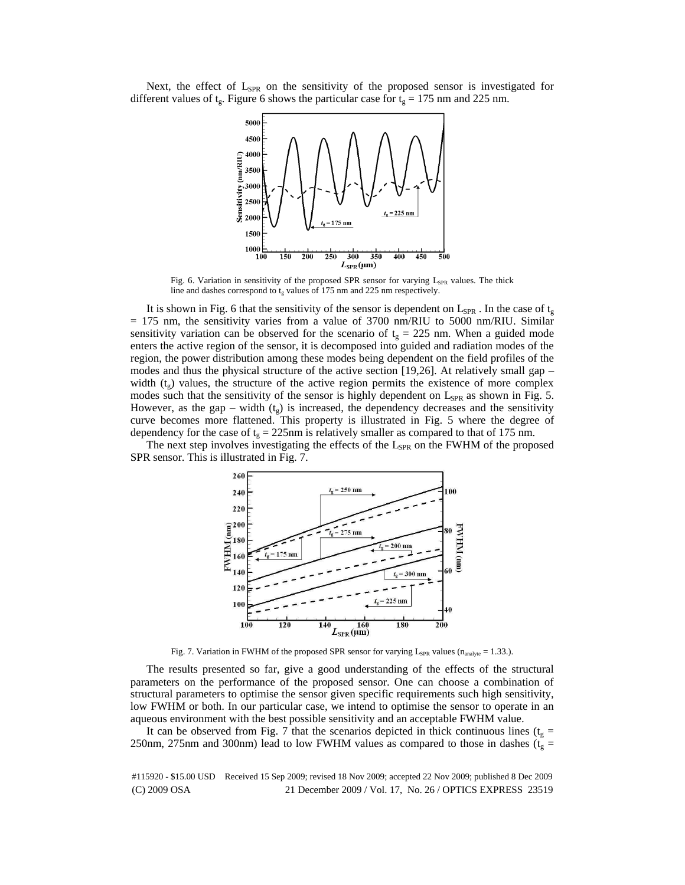Next, the effect of  $L_{SPR}$  on the sensitivity of the proposed sensor is investigated for different values of t<sub>g</sub>. Figure 6 shows the particular case for t<sub>g</sub> = 175 nm and 225 nm.



Fig. 6. Variation in sensitivity of the proposed SPR sensor for varying L<sub>SPR</sub> values. The thick line and dashes correspond to  $t_{g}$  values of 175 nm and 225 nm respectively.

It is shown in Fig. 6 that the sensitivity of the sensor is dependent on  $L_{SPR}$ . In the case of  $t_{g}$  $= 175$  nm, the sensitivity varies from a value of 3700 nm/RIU to 5000 nm/RIU. Similar sensitivity variation can be observed for the scenario of  $t_g = 225$  nm. When a guided mode enters the active region of the sensor, it is decomposed into guided and radiation modes of the region, the power distribution among these modes being dependent on the field profiles of the modes and thus the physical structure of the active section [19,26]. At relatively small gap  $$ width  $(t<sub>s</sub>)$  values, the structure of the active region permits the existence of more complex modes such that the sensitivity of the sensor is highly dependent on  $L_{SPR}$  as shown in Fig. 5. However, as the gap – width  $(t_g)$  is increased, the dependency decreases and the sensitivity curve becomes more flattened. This property is illustrated in Fig. 5 where the degree of dependency for the case of  $t<sub>g</sub> = 225$ nm is relatively smaller as compared to that of 175 nm.

The next step involves investigating the effects of the  $L_{SPR}$  on the FWHM of the proposed SPR sensor. This is illustrated in Fig. 7.



Fig. 7. Variation in FWHM of the proposed SPR sensor for varying  $L_{SPR}$  values ( $n_{analyte} = 1.33$ .).

The results presented so far, give a good understanding of the effects of the structural parameters on the performance of the proposed sensor. One can choose a combination of structural parameters to optimise the sensor given specific requirements such high sensitivity, low FWHM or both. In our particular case, we intend to optimise the sensor to operate in an aqueous environment with the best possible sensitivity and an acceptable FWHM value.

It can be observed from Fig. 7 that the scenarios depicted in thick continuous lines ( $t_g$  = 250nm, 275nm and 300nm) lead to low FWHM values as compared to those in dashes ( $t_g$  =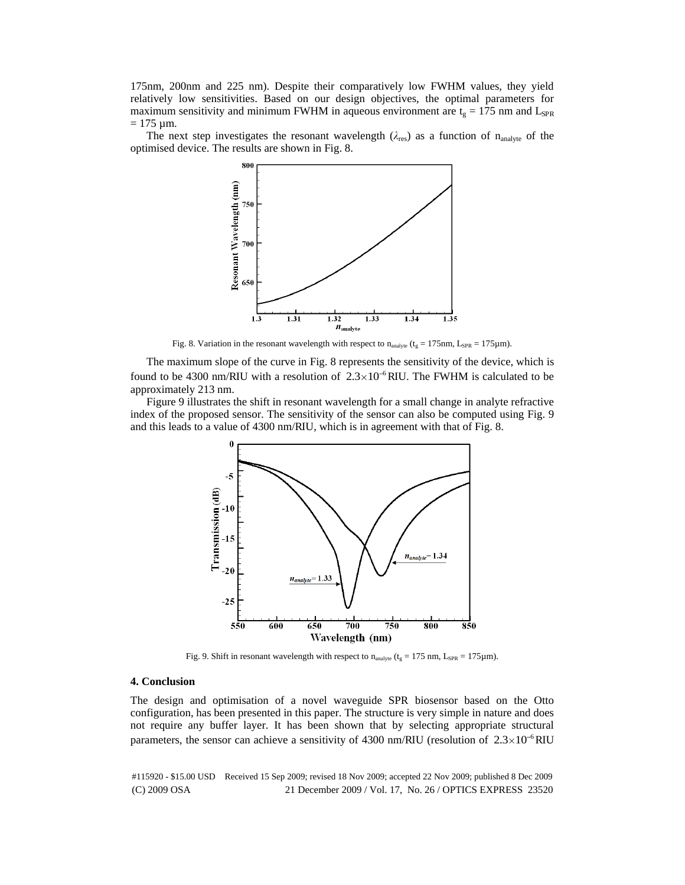175nm, 200nm and 225 nm). Despite their comparatively low FWHM values, they yield relatively low sensitivities. Based on our design objectives, the optimal parameters for maximum sensitivity and minimum FWHM in aqueous environment are  $t_g = 175$  nm and L<sub>SPR</sub>  $= 175 \mu m$ .

The next step investigates the resonant wavelength  $(\lambda_{res})$  as a function of n<sub>analyte</sub> of the optimised device. The results are shown in Fig. 8.



Fig. 8. Variation in the resonant wavelength with respect to  $n_{analyte}$  ( $t_g = 175$ nm, L<sub>SPR</sub> = 175 $\mu$ m).

The maximum slope of the curve in Fig. 8 represents the sensitivity of the device, which is found to be 4300 nm/RIU with a resolution of  $2.3 \times 10^{-6}$  RIU. The FWHM is calculated to be approximately 213 nm.

Figure 9 illustrates the shift in resonant wavelength for a small change in analyte refractive index of the proposed sensor. The sensitivity of the sensor can also be computed using Fig. 9 and this leads to a value of 4300 nm/RIU, which is in agreement with that of Fig. 8.



Fig. 9. Shift in resonant wavelength with respect to  $n_{analyte}$  ( $t_g = 175$  nm,  $L_{SPR} = 175 \mu m$ ).

### **4. Conclusion**

The design and optimisation of a novel waveguide SPR biosensor based on the Otto configuration, has been presented in this paper. The structure is very simple in nature and does not require any buffer layer. It has been shown that by selecting appropriate structural parameters, the sensor can achieve a sensitivity of 4300 nm/RIU (resolution of  $2.3 \times 10^{-6}$  RIU